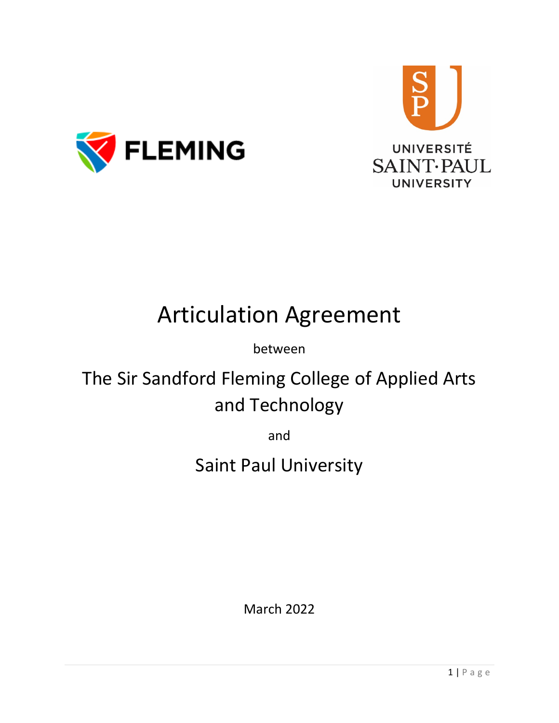



# Articulation Agreement

### between

## The Sir Sandford Fleming College of Applied Arts and Technology

and

### Saint Paul University

March 2022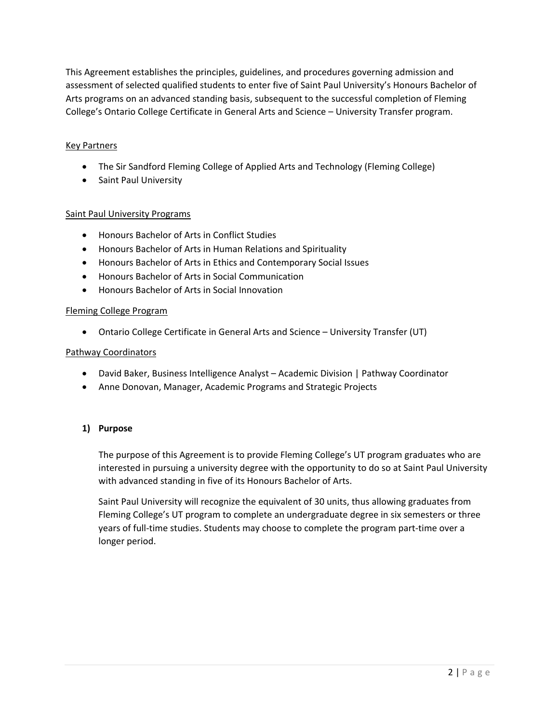This Agreement establishes the principles, guidelines, and procedures governing admission and assessment of selected qualified students to enter five of Saint Paul University's Honours Bachelor of Arts programs on an advanced standing basis, subsequent to the successful completion of Fleming College's Ontario College Certificate in General Arts and Science – University Transfer program.

#### Key Partners

- The Sir Sandford Fleming College of Applied Arts and Technology (Fleming College)
- Saint Paul University

#### Saint Paul University Programs

- Honours Bachelor of Arts in Conflict Studies
- Honours Bachelor of Arts in Human Relations and Spirituality
- Honours Bachelor of Arts in Ethics and Contemporary Social Issues
- Honours Bachelor of Arts in Social Communication
- Honours Bachelor of Arts in Social Innovation

#### Fleming College Program

• Ontario College Certificate in General Arts and Science – University Transfer (UT)

#### Pathway Coordinators

- David Baker, Business Intelligence Analyst Academic Division | Pathway Coordinator
- Anne Donovan, Manager, Academic Programs and Strategic Projects

#### **1) Purpose**

The purpose of this Agreement is to provide Fleming College's UT program graduates who are interested in pursuing a university degree with the opportunity to do so at Saint Paul University with advanced standing in five of its Honours Bachelor of Arts.

Saint Paul University will recognize the equivalent of 30 units, thus allowing graduates from Fleming College's UT program to complete an undergraduate degree in six semesters or three years of full-time studies. Students may choose to complete the program part-time over a longer period.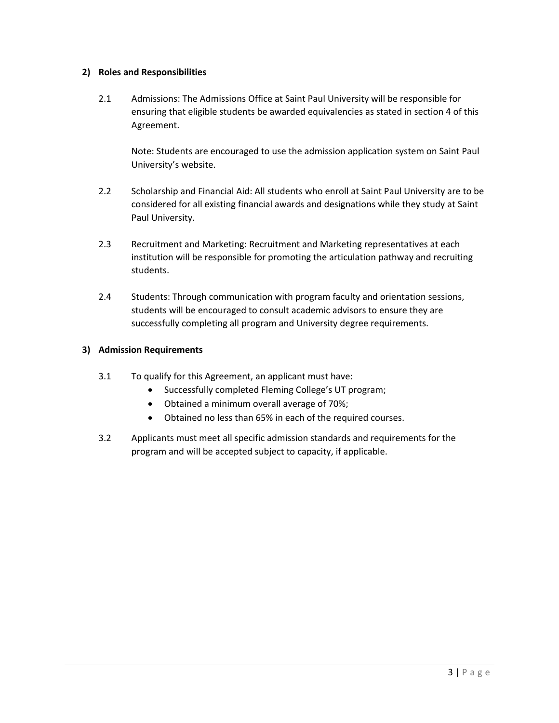#### **2) Roles and Responsibilities**

2.1 Admissions: The Admissions Office at Saint Paul University will be responsible for ensuring that eligible students be awarded equivalencies as stated in section 4 of this Agreement.

Note: Students are encouraged to use the admission application system on Saint Paul University's website.

- 2.2 Scholarship and Financial Aid: All students who enroll at Saint Paul University are to be considered for all existing financial awards and designations while they study at Saint Paul University.
- 2.3 Recruitment and Marketing: Recruitment and Marketing representatives at each institution will be responsible for promoting the articulation pathway and recruiting students.
- 2.4 Students: Through communication with program faculty and orientation sessions, students will be encouraged to consult academic advisors to ensure they are successfully completing all program and University degree requirements.

#### **3) Admission Requirements**

- 3.1 To qualify for this Agreement, an applicant must have:
	- Successfully completed Fleming College's UT program;
	- Obtained a minimum overall average of 70%;
	- Obtained no less than 65% in each of the required courses.
- 3.2 Applicants must meet all specific admission standards and requirements for the program and will be accepted subject to capacity, if applicable.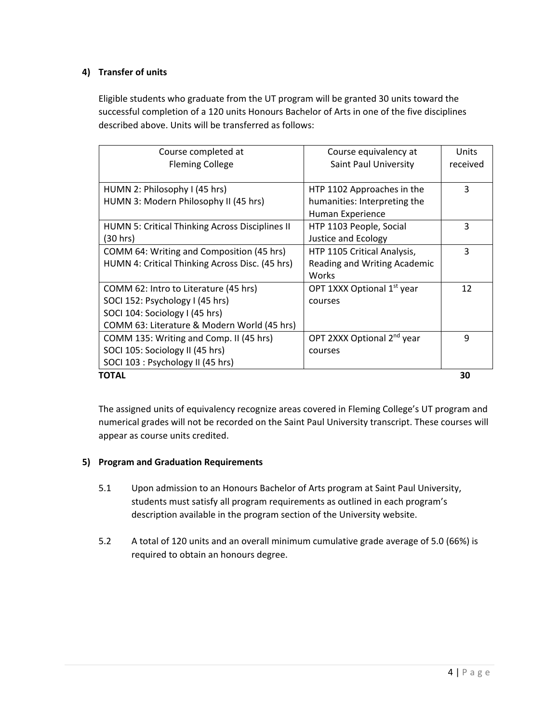#### **4) Transfer of units**

Eligible students who graduate from the UT program will be granted 30 units toward the successful completion of a 120 units Honours Bachelor of Arts in one of the five disciplines described above. Units will be transferred as follows:

| Course completed at                                    | Course equivalency at                  | Units    |
|--------------------------------------------------------|----------------------------------------|----------|
| <b>Fleming College</b>                                 | Saint Paul University                  | received |
|                                                        |                                        |          |
| HUMN 2: Philosophy I (45 hrs)                          | HTP 1102 Approaches in the             | 3        |
| HUMN 3: Modern Philosophy II (45 hrs)                  | humanities: Interpreting the           |          |
|                                                        | Human Experience                       |          |
| <b>HUMN 5: Critical Thinking Across Disciplines II</b> | HTP 1103 People, Social                | 3        |
| (30 hrs)                                               | <b>Justice and Ecology</b>             |          |
| COMM 64: Writing and Composition (45 hrs)              | HTP 1105 Critical Analysis,            | 3        |
| HUMN 4: Critical Thinking Across Disc. (45 hrs)        | Reading and Writing Academic           |          |
|                                                        | Works                                  |          |
| COMM 62: Intro to Literature (45 hrs)                  | OPT 1XXX Optional 1 <sup>st</sup> year | 12       |
| SOCI 152: Psychology I (45 hrs)                        | courses                                |          |
| SOCI 104: Sociology I (45 hrs)                         |                                        |          |
| COMM 63: Literature & Modern World (45 hrs)            |                                        |          |
| COMM 135: Writing and Comp. II (45 hrs)                | OPT 2XXX Optional 2 <sup>nd</sup> year | 9        |
| SOCI 105: Sociology II (45 hrs)                        | courses                                |          |
| SOCI 103 : Psychology II (45 hrs)                      |                                        |          |
| TOTAL                                                  |                                        | 30       |

The assigned units of equivalency recognize areas covered in Fleming College's UT program and numerical grades will not be recorded on the Saint Paul University transcript. These courses will appear as course units credited.

#### **5) Program and Graduation Requirements**

- 5.1 Upon admission to an Honours Bachelor of Arts program at Saint Paul University, students must satisfy all program requirements as outlined in each program's description available in the program section of the University website.
- 5.2 A total of 120 units and an overall minimum cumulative grade average of 5.0 (66%) is required to obtain an honours degree.